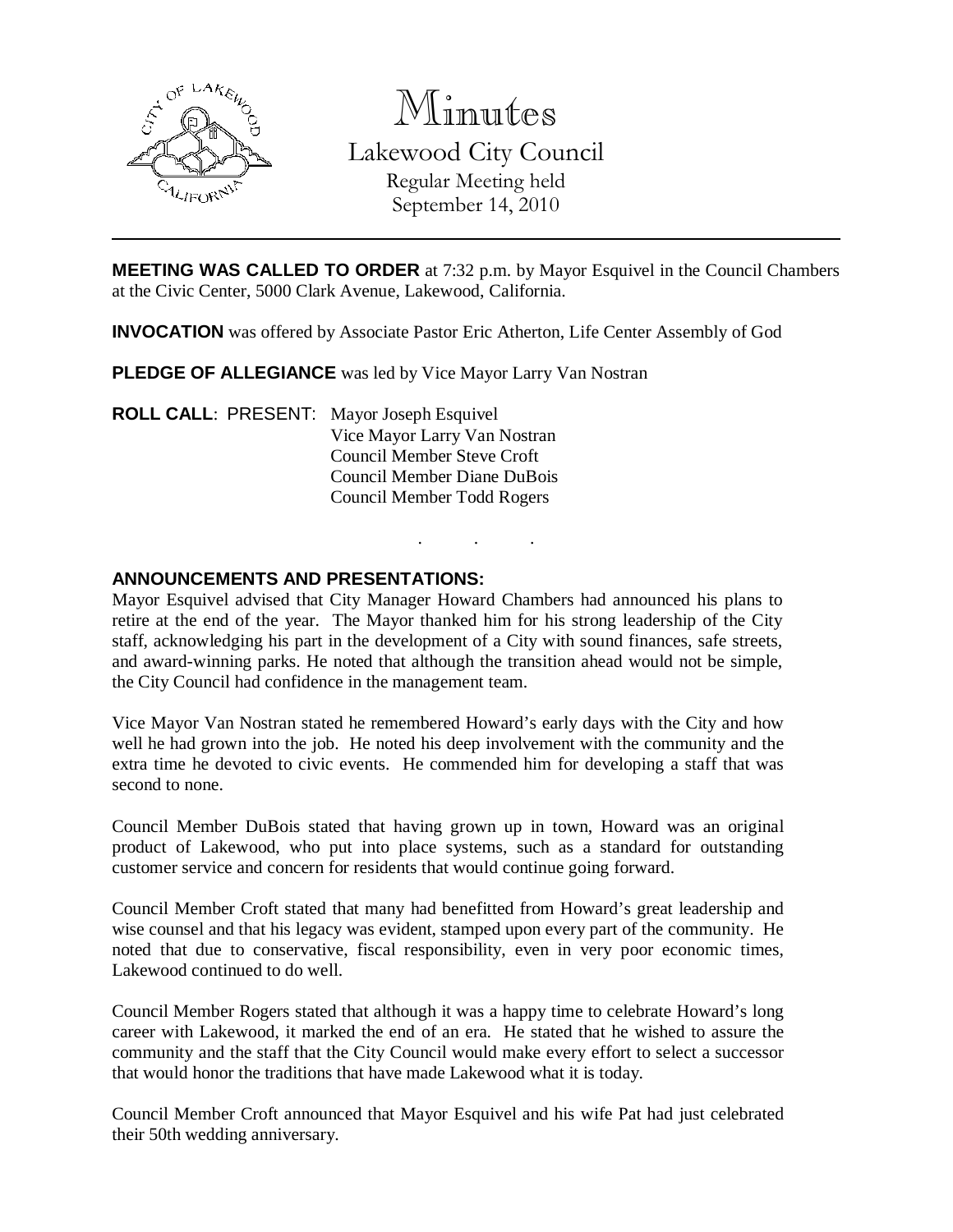

Minutes Lakewood City Council Regular Meeting held September 14, 2010

**MEETING WAS CALLED TO ORDER** at 7:32 p.m. by Mayor Esquivel in the Council Chambers at the Civic Center, 5000 Clark Avenue, Lakewood, California.

**INVOCATION** was offered by Associate Pastor Eric Atherton, Life Center Assembly of God

**PLEDGE OF ALLEGIANCE** was led by Vice Mayor Larry Van Nostran

**ROLL CALL**: PRESENT: Mayor Joseph Esquivel Vice Mayor Larry Van Nostran Council Member Steve Croft Council Member Diane DuBois Council Member Todd Rogers

#### **ANNOUNCEMENTS AND PRESENTATIONS:**

Mayor Esquivel advised that City Manager Howard Chambers had announced his plans to retire at the end of the year. The Mayor thanked him for his strong leadership of the City staff, acknowledging his part in the development of a City with sound finances, safe streets, and award-winning parks. He noted that although the transition ahead would not be simple, the City Council had confidence in the management team.

. . .

Vice Mayor Van Nostran stated he remembered Howard's early days with the City and how well he had grown into the job. He noted his deep involvement with the community and the extra time he devoted to civic events. He commended him for developing a staff that was second to none.

Council Member DuBois stated that having grown up in town, Howard was an original product of Lakewood, who put into place systems, such as a standard for outstanding customer service and concern for residents that would continue going forward.

Council Member Croft stated that many had benefitted from Howard's great leadership and wise counsel and that his legacy was evident, stamped upon every part of the community. He noted that due to conservative, fiscal responsibility, even in very poor economic times, Lakewood continued to do well.

Council Member Rogers stated that although it was a happy time to celebrate Howard's long career with Lakewood, it marked the end of an era. He stated that he wished to assure the community and the staff that the City Council would make every effort to select a successor that would honor the traditions that have made Lakewood what it is today.

Council Member Croft announced that Mayor Esquivel and his wife Pat had just celebrated their 50th wedding anniversary.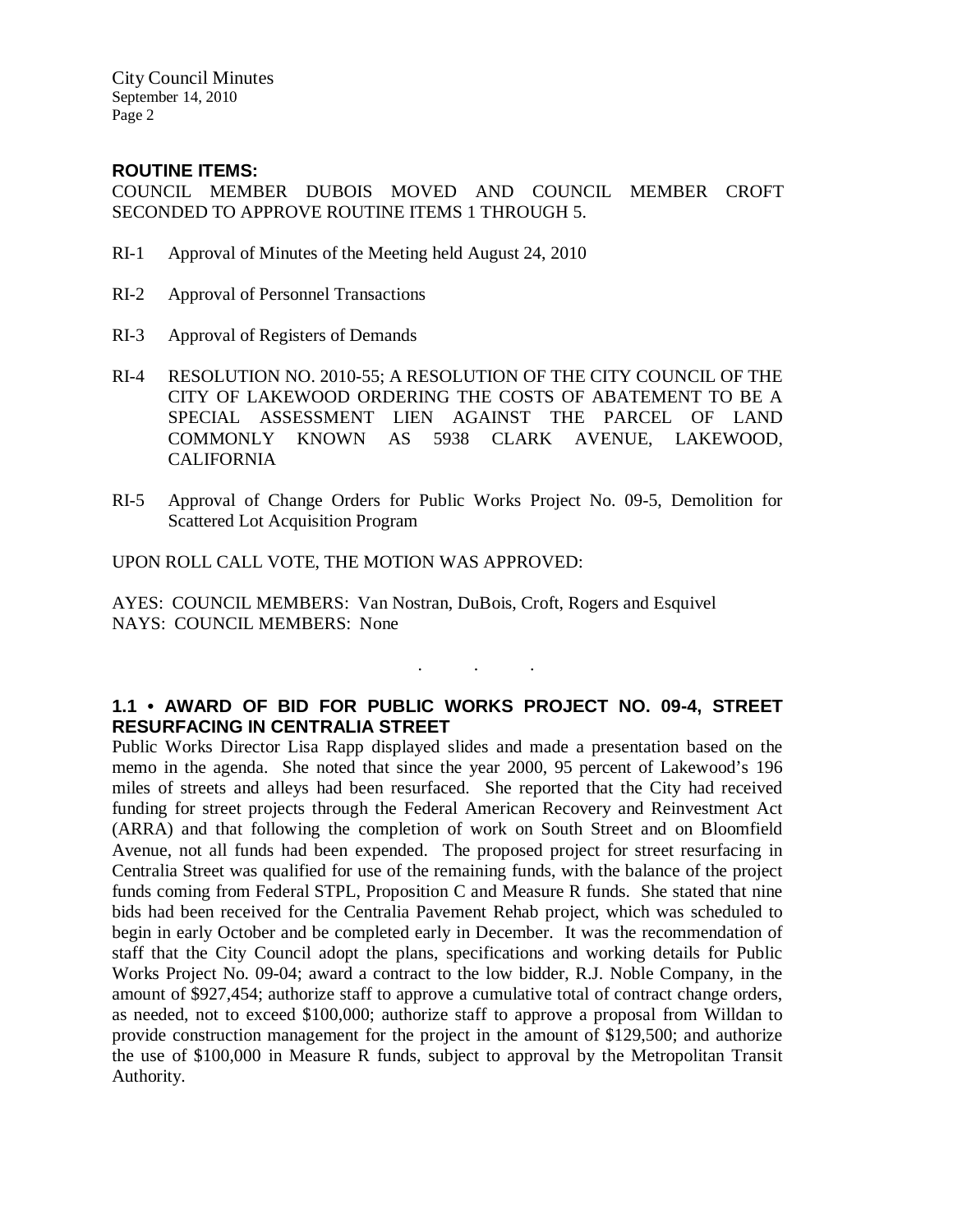City Council Minutes September 14, 2010 Page 2

#### **ROUTINE ITEMS:**

COUNCIL MEMBER DUBOIS MOVED AND COUNCIL MEMBER CROFT SECONDED TO APPROVE ROUTINE ITEMS 1 THROUGH 5.

- RI-1 Approval of Minutes of the Meeting held August 24, 2010
- RI-2 Approval of Personnel Transactions
- RI-3 Approval of Registers of Demands
- RI-4 RESOLUTION NO. 2010-55; A RESOLUTION OF THE CITY COUNCIL OF THE CITY OF LAKEWOOD ORDERING THE COSTS OF ABATEMENT TO BE A SPECIAL ASSESSMENT LIEN AGAINST THE PARCEL OF LAND COMMONLY KNOWN AS 5938 CLARK AVENUE, LAKEWOOD, CALIFORNIA
- RI-5 Approval of Change Orders for Public Works Project No. 09-5, Demolition for Scattered Lot Acquisition Program

UPON ROLL CALL VOTE, THE MOTION WAS APPROVED:

AYES: COUNCIL MEMBERS: Van Nostran, DuBois, Croft, Rogers and Esquivel NAYS: COUNCIL MEMBERS: None

## **1.1 • AWARD OF BID FOR PUBLIC WORKS PROJECT NO. 09-4, STREET RESURFACING IN CENTRALIA STREET**

. . .

Public Works Director Lisa Rapp displayed slides and made a presentation based on the memo in the agenda. She noted that since the year 2000, 95 percent of Lakewood's 196 miles of streets and alleys had been resurfaced. She reported that the City had received funding for street projects through the Federal American Recovery and Reinvestment Act (ARRA) and that following the completion of work on South Street and on Bloomfield Avenue, not all funds had been expended. The proposed project for street resurfacing in Centralia Street was qualified for use of the remaining funds, with the balance of the project funds coming from Federal STPL, Proposition C and Measure R funds. She stated that nine bids had been received for the Centralia Pavement Rehab project, which was scheduled to begin in early October and be completed early in December. It was the recommendation of staff that the City Council adopt the plans, specifications and working details for Public Works Project No. 09-04; award a contract to the low bidder, R.J. Noble Company, in the amount of \$927,454; authorize staff to approve a cumulative total of contract change orders, as needed, not to exceed \$100,000; authorize staff to approve a proposal from Willdan to provide construction management for the project in the amount of \$129,500; and authorize the use of \$100,000 in Measure R funds, subject to approval by the Metropolitan Transit Authority.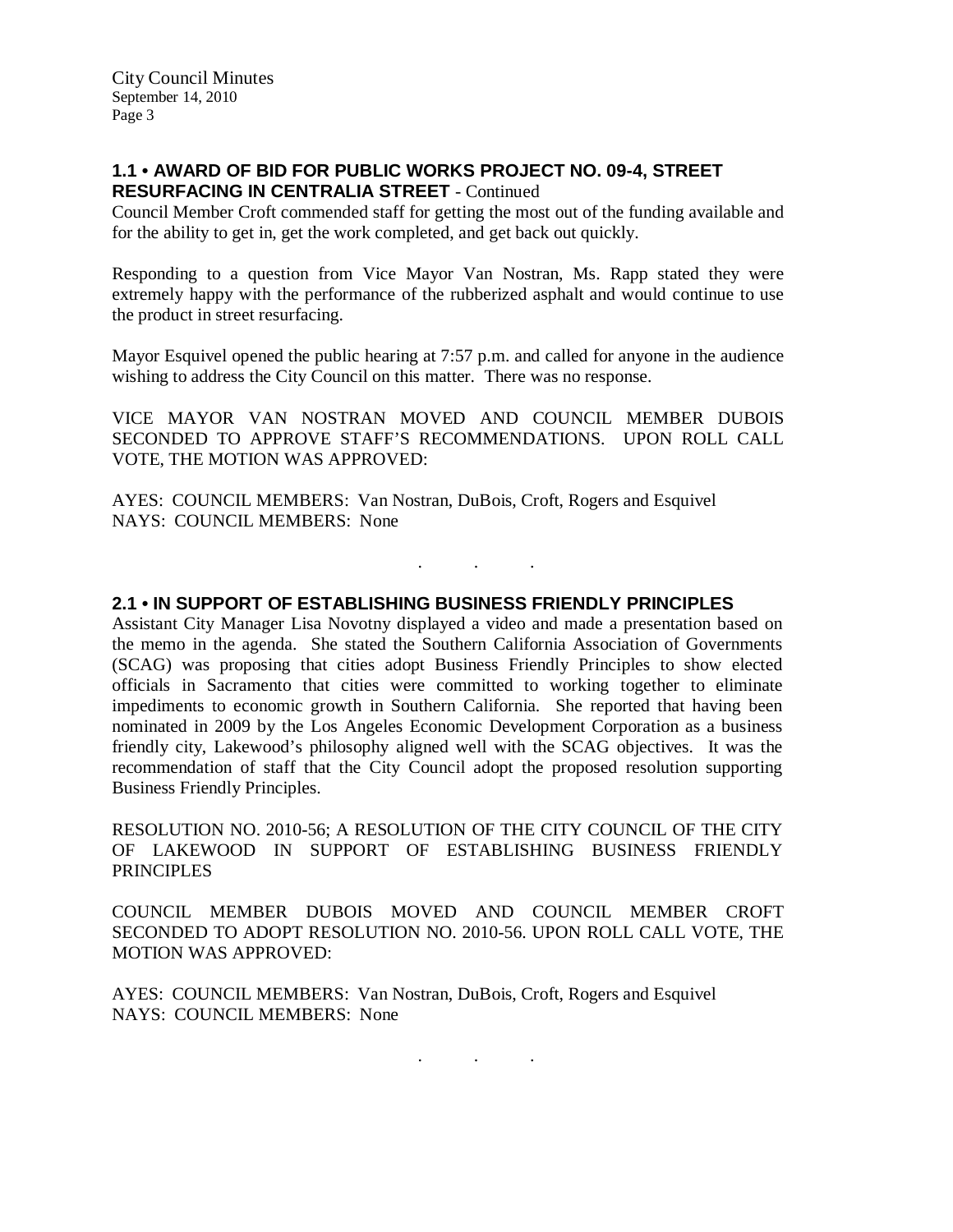## **1.1 • AWARD OF BID FOR PUBLIC WORKS PROJECT NO. 09-4, STREET RESURFACING IN CENTRALIA STREET** - Continued

Council Member Croft commended staff for getting the most out of the funding available and for the ability to get in, get the work completed, and get back out quickly.

Responding to a question from Vice Mayor Van Nostran, Ms. Rapp stated they were extremely happy with the performance of the rubberized asphalt and would continue to use the product in street resurfacing.

Mayor Esquivel opened the public hearing at 7:57 p.m. and called for anyone in the audience wishing to address the City Council on this matter. There was no response.

VICE MAYOR VAN NOSTRAN MOVED AND COUNCIL MEMBER DUBOIS SECONDED TO APPROVE STAFF'S RECOMMENDATIONS. UPON ROLL CALL VOTE, THE MOTION WAS APPROVED:

. . .

AYES: COUNCIL MEMBERS: Van Nostran, DuBois, Croft, Rogers and Esquivel NAYS: COUNCIL MEMBERS: None

#### **2.1 • IN SUPPORT OF ESTABLISHING BUSINESS FRIENDLY PRINCIPLES**

Assistant City Manager Lisa Novotny displayed a video and made a presentation based on the memo in the agenda. She stated the Southern California Association of Governments (SCAG) was proposing that cities adopt Business Friendly Principles to show elected officials in Sacramento that cities were committed to working together to eliminate impediments to economic growth in Southern California. She reported that having been nominated in 2009 by the Los Angeles Economic Development Corporation as a business friendly city, Lakewood's philosophy aligned well with the SCAG objectives. It was the recommendation of staff that the City Council adopt the proposed resolution supporting Business Friendly Principles.

RESOLUTION NO. 2010-56; A RESOLUTION OF THE CITY COUNCIL OF THE CITY OF LAKEWOOD IN SUPPORT OF ESTABLISHING BUSINESS FRIENDLY PRINCIPLES

COUNCIL MEMBER DUBOIS MOVED AND COUNCIL MEMBER CROFT SECONDED TO ADOPT RESOLUTION NO. 2010-56. UPON ROLL CALL VOTE, THE MOTION WAS APPROVED:

AYES: COUNCIL MEMBERS: Van Nostran, DuBois, Croft, Rogers and Esquivel NAYS: COUNCIL MEMBERS: None

. . .